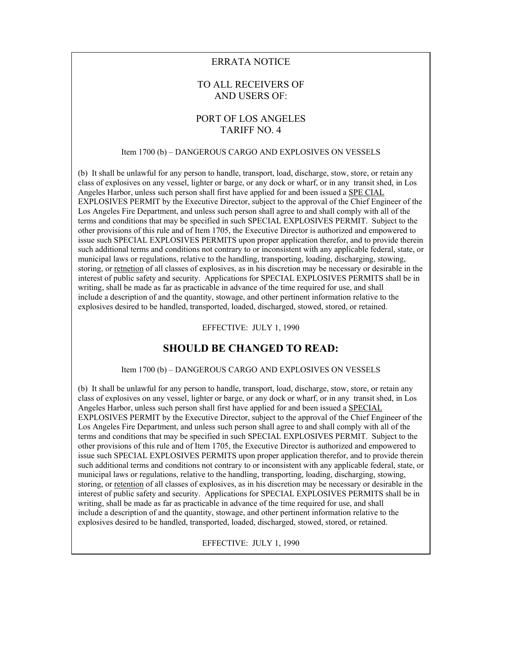### ERRATA NOTICE

# TO ALL RECEIVERS OF AND USERS OF:

# PORT OF LOS ANGELES TARIFF NO. 4

#### Item 1700 (b) – DANGEROUS CARGO AND EXPLOSIVES ON VESSELS

(b) It shall be unlawful for any person to handle, transport, load, discharge, stow, store, or retain any class of explosives on any vessel, lighter or barge, or any dock or wharf, or in any transit shed, in Los Angeles Harbor, unless such person shall first have applied for and been issued a SPE CIAL EXPLOSIVES PERMIT by the Executive Director, subject to the approval of the Chief Engineer of the Los Angeles Fire Department, and unless such person shall agree to and shall comply with all of the terms and conditions that may be specified in such SPECIAL EXPLOSIVES PERMIT. Subject to the other provisions of this rule and of Item 1705, the Executive Director is authorized and empowered to issue such SPECIAL EXPLOSIVES PERMITS upon proper application therefor, and to provide therein such additional terms and conditions not contrary to or inconsistent with any applicable federal, state, or municipal laws or regulations, relative to the handling, transporting, loading, discharging, stowing, storing, or retnetion of all classes of explosives, as in his discretion may be necessary or desirable in the interest of public safety and security. Applications for SPECIAL EXPLOSIVES PERMITS shall be in writing, shall be made as far as practicable in advance of the time required for use, and shall include a description of and the quantity, stowage, and other pertinent information relative to the explosives desired to be handled, transported, loaded, discharged, stowed, stored, or retained.

EFFECTIVE: JULY 1, 1990

### **SHOULD BE CHANGED TO READ:**

#### Item 1700 (b) – DANGEROUS CARGO AND EXPLOSIVES ON VESSELS

(b) It shall be unlawful for any person to handle, transport, load, discharge, stow, store, or retain any class of explosives on any vessel, lighter or barge, or any dock or wharf, or in any transit shed, in Los Angeles Harbor, unless such person shall first have applied for and been issued a SPECIAL EXPLOSIVES PERMIT by the Executive Director, subject to the approval of the Chief Engineer of the Los Angeles Fire Department, and unless such person shall agree to and shall comply with all of the terms and conditions that may be specified in such SPECIAL EXPLOSIVES PERMIT. Subject to the other provisions of this rule and of Item 1705, the Executive Director is authorized and empowered to issue such SPECIAL EXPLOSIVES PERMITS upon proper application therefor, and to provide therein such additional terms and conditions not contrary to or inconsistent with any applicable federal, state, or municipal laws or regulations, relative to the handling, transporting, loading, discharging, stowing, storing, or retention of all classes of explosives, as in his discretion may be necessary or desirable in the interest of public safety and security. Applications for SPECIAL EXPLOSIVES PERMITS shall be in writing, shall be made as far as practicable in advance of the time required for use, and shall include a description of and the quantity, stowage, and other pertinent information relative to the explosives desired to be handled, transported, loaded, discharged, stowed, stored, or retained.

EFFECTIVE: JULY 1, 1990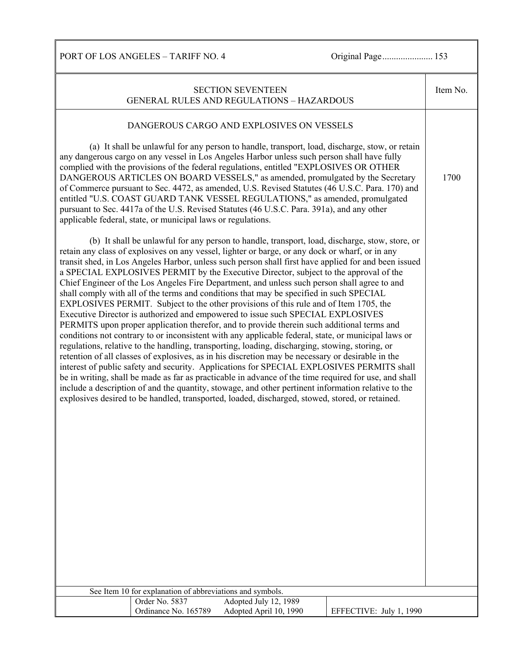PORT OF LOS ANGELES – TARIFF NO. 4 Original Page...................... 153

| <b>SECTION SEVENTEEN</b><br><b>GENERAL RULES AND REGULATIONS - HAZARDOUS</b>                                                                                                                                                                                                                                                                                                                                                                                                                                                                                                                                                                                                                                                                                                                                                                                                                                                                                                                                                                                                                                                                                                                                                                                                                                                                                                                                                                                                                                                                                                                           | Item No. |
|--------------------------------------------------------------------------------------------------------------------------------------------------------------------------------------------------------------------------------------------------------------------------------------------------------------------------------------------------------------------------------------------------------------------------------------------------------------------------------------------------------------------------------------------------------------------------------------------------------------------------------------------------------------------------------------------------------------------------------------------------------------------------------------------------------------------------------------------------------------------------------------------------------------------------------------------------------------------------------------------------------------------------------------------------------------------------------------------------------------------------------------------------------------------------------------------------------------------------------------------------------------------------------------------------------------------------------------------------------------------------------------------------------------------------------------------------------------------------------------------------------------------------------------------------------------------------------------------------------|----------|
| DANGEROUS CARGO AND EXPLOSIVES ON VESSELS                                                                                                                                                                                                                                                                                                                                                                                                                                                                                                                                                                                                                                                                                                                                                                                                                                                                                                                                                                                                                                                                                                                                                                                                                                                                                                                                                                                                                                                                                                                                                              |          |
| (a) It shall be unlawful for any person to handle, transport, load, discharge, stow, or retain<br>any dangerous cargo on any vessel in Los Angeles Harbor unless such person shall have fully<br>complied with the provisions of the federal regulations, entitled "EXPLOSIVES OR OTHER<br>DANGEROUS ARTICLES ON BOARD VESSELS," as amended, promulgated by the Secretary<br>of Commerce pursuant to Sec. 4472, as amended, U.S. Revised Statutes (46 U.S.C. Para. 170) and<br>entitled "U.S. COAST GUARD TANK VESSEL REGULATIONS," as amended, promulgated<br>pursuant to Sec. 4417a of the U.S. Revised Statutes (46 U.S.C. Para. 391a), and any other<br>applicable federal, state, or municipal laws or regulations.                                                                                                                                                                                                                                                                                                                                                                                                                                                                                                                                                                                                                                                                                                                                                                                                                                                                               | 1700     |
| (b) It shall be unlawful for any person to handle, transport, load, discharge, stow, store, or<br>retain any class of explosives on any vessel, lighter or barge, or any dock or wharf, or in any<br>transit shed, in Los Angeles Harbor, unless such person shall first have applied for and been issued<br>a SPECIAL EXPLOSIVES PERMIT by the Executive Director, subject to the approval of the<br>Chief Engineer of the Los Angeles Fire Department, and unless such person shall agree to and<br>shall comply with all of the terms and conditions that may be specified in such SPECIAL<br>EXPLOSIVES PERMIT. Subject to the other provisions of this rule and of Item 1705, the<br>Executive Director is authorized and empowered to issue such SPECIAL EXPLOSIVES<br>PERMITS upon proper application therefor, and to provide therein such additional terms and<br>conditions not contrary to or inconsistent with any applicable federal, state, or municipal laws or<br>regulations, relative to the handling, transporting, loading, discharging, stowing, storing, or<br>retention of all classes of explosives, as in his discretion may be necessary or desirable in the<br>interest of public safety and security. Applications for SPECIAL EXPLOSIVES PERMITS shall<br>be in writing, shall be made as far as practicable in advance of the time required for use, and shall<br>include a description of and the quantity, stowage, and other pertinent information relative to the<br>explosives desired to be handled, transported, loaded, discharged, stowed, stored, or retained. |          |
|                                                                                                                                                                                                                                                                                                                                                                                                                                                                                                                                                                                                                                                                                                                                                                                                                                                                                                                                                                                                                                                                                                                                                                                                                                                                                                                                                                                                                                                                                                                                                                                                        |          |
| See Item 10 for explanation of abbreviations and symbols.<br>Order No. 5837<br>Adopted July 12, 1989                                                                                                                                                                                                                                                                                                                                                                                                                                                                                                                                                                                                                                                                                                                                                                                                                                                                                                                                                                                                                                                                                                                                                                                                                                                                                                                                                                                                                                                                                                   |          |
| Ordinance No. 165789<br>Adopted April 10, 1990<br>EFFECTIVE: July 1, 1990                                                                                                                                                                                                                                                                                                                                                                                                                                                                                                                                                                                                                                                                                                                                                                                                                                                                                                                                                                                                                                                                                                                                                                                                                                                                                                                                                                                                                                                                                                                              |          |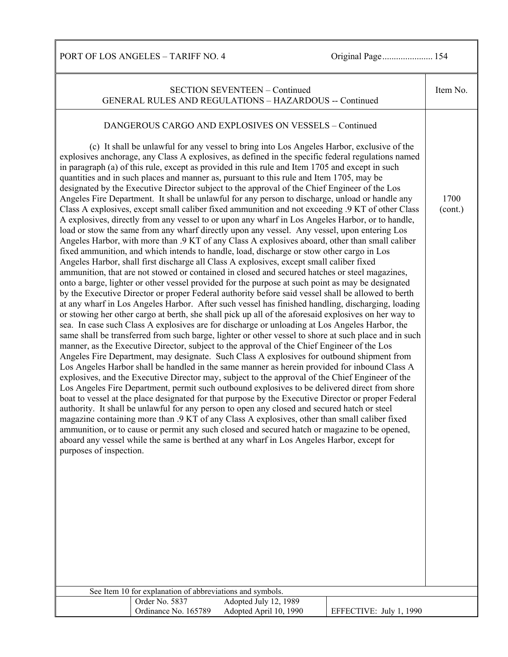PORT OF LOS ANGELES – TARIFF NO. 4 Original Page................................. 154

|                         |                                                                             | <b>SECTION SEVENTEEN - Continued</b><br><b>GENERAL RULES AND REGULATIONS - HAZARDOUS -- Continued</b>                                                                                                                                                                                                                                                                                                                                                                                                                                                                                                                                                                                                                                                                                                                                                                                                                                                                                                                                                                                                                                                                                                                                                                                                                                                                                                                                                                                                                                                                                                                                                                                                                                                                                                                                                                                                                                                                                                                                                                                                                                                                                                                                                                                                                                                                                                                                                                                                                                                                                                                                                                                                                                                                                                                                                                                                                                                                                                                                     |                         | Item No.        |
|-------------------------|-----------------------------------------------------------------------------|-------------------------------------------------------------------------------------------------------------------------------------------------------------------------------------------------------------------------------------------------------------------------------------------------------------------------------------------------------------------------------------------------------------------------------------------------------------------------------------------------------------------------------------------------------------------------------------------------------------------------------------------------------------------------------------------------------------------------------------------------------------------------------------------------------------------------------------------------------------------------------------------------------------------------------------------------------------------------------------------------------------------------------------------------------------------------------------------------------------------------------------------------------------------------------------------------------------------------------------------------------------------------------------------------------------------------------------------------------------------------------------------------------------------------------------------------------------------------------------------------------------------------------------------------------------------------------------------------------------------------------------------------------------------------------------------------------------------------------------------------------------------------------------------------------------------------------------------------------------------------------------------------------------------------------------------------------------------------------------------------------------------------------------------------------------------------------------------------------------------------------------------------------------------------------------------------------------------------------------------------------------------------------------------------------------------------------------------------------------------------------------------------------------------------------------------------------------------------------------------------------------------------------------------------------------------------------------------------------------------------------------------------------------------------------------------------------------------------------------------------------------------------------------------------------------------------------------------------------------------------------------------------------------------------------------------------------------------------------------------------------------------------------------------|-------------------------|-----------------|
| purposes of inspection. | See Item 10 for explanation of abbreviations and symbols.<br>Order No. 5837 | DANGEROUS CARGO AND EXPLOSIVES ON VESSELS - Continued<br>(c) It shall be unlawful for any vessel to bring into Los Angeles Harbor, exclusive of the<br>explosives anchorage, any Class A explosives, as defined in the specific federal regulations named<br>in paragraph (a) of this rule, except as provided in this rule and Item 1705 and except in such<br>quantities and in such places and manner as, pursuant to this rule and Item 1705, may be<br>designated by the Executive Director subject to the approval of the Chief Engineer of the Los<br>Angeles Fire Department. It shall be unlawful for any person to discharge, unload or handle any<br>Class A explosives, except small caliber fixed ammunition and not exceeding .9 KT of other Class<br>A explosives, directly from any vessel to or upon any wharf in Los Angeles Harbor, or to handle,<br>load or stow the same from any wharf directly upon any vessel. Any vessel, upon entering Los<br>Angeles Harbor, with more than .9 KT of any Class A explosives aboard, other than small caliber<br>fixed ammunition, and which intends to handle, load, discharge or stow other cargo in Los<br>Angeles Harbor, shall first discharge all Class A explosives, except small caliber fixed<br>ammunition, that are not stowed or contained in closed and secured hatches or steel magazines,<br>onto a barge, lighter or other vessel provided for the purpose at such point as may be designated<br>by the Executive Director or proper Federal authority before said vessel shall be allowed to berth<br>at any wharf in Los Angeles Harbor. After such vessel has finished handling, discharging, loading<br>or stowing her other cargo at berth, she shall pick up all of the aforesaid explosives on her way to<br>sea. In case such Class A explosives are for discharge or unloading at Los Angeles Harbor, the<br>same shall be transferred from such barge, lighter or other vessel to shore at such place and in such<br>manner, as the Executive Director, subject to the approval of the Chief Engineer of the Los<br>Angeles Fire Department, may designate. Such Class A explosives for outbound shipment from<br>Los Angeles Harbor shall be handled in the same manner as herein provided for inbound Class A<br>explosives, and the Executive Director may, subject to the approval of the Chief Engineer of the<br>Los Angeles Fire Department, permit such outbound explosives to be delivered direct from shore<br>boat to vessel at the place designated for that purpose by the Executive Director or proper Federal<br>authority. It shall be unlawful for any person to open any closed and secured hatch or steel<br>magazine containing more than .9 KT of any Class A explosives, other than small caliber fixed<br>ammunition, or to cause or permit any such closed and secured hatch or magazine to be opened,<br>aboard any vessel while the same is berthed at any wharf in Los Angeles Harbor, except for<br>Adopted July 12, 1989 |                         | 1700<br>(cont.) |
|                         | Ordinance No. 165789                                                        | Adopted April 10, 1990                                                                                                                                                                                                                                                                                                                                                                                                                                                                                                                                                                                                                                                                                                                                                                                                                                                                                                                                                                                                                                                                                                                                                                                                                                                                                                                                                                                                                                                                                                                                                                                                                                                                                                                                                                                                                                                                                                                                                                                                                                                                                                                                                                                                                                                                                                                                                                                                                                                                                                                                                                                                                                                                                                                                                                                                                                                                                                                                                                                                                    | EFFECTIVE: July 1, 1990 |                 |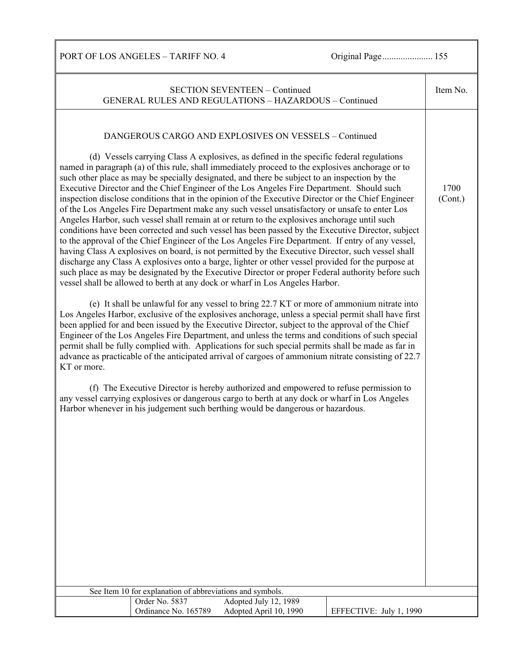PORT OF LOS ANGELES – TARIFF NO. 4 Original Page...................... 155

|             |                                                                             | <b>SECTION SEVENTEEN - Continued</b><br><b>GENERAL RULES AND REGULATIONS - HAZARDOUS - Continued</b>                                                                                                                                                                                                                                                                                                                                                                                                                                                                                                                                                                                                                                                                                                    |                         | Item No.        |
|-------------|-----------------------------------------------------------------------------|---------------------------------------------------------------------------------------------------------------------------------------------------------------------------------------------------------------------------------------------------------------------------------------------------------------------------------------------------------------------------------------------------------------------------------------------------------------------------------------------------------------------------------------------------------------------------------------------------------------------------------------------------------------------------------------------------------------------------------------------------------------------------------------------------------|-------------------------|-----------------|
|             |                                                                             | DANGEROUS CARGO AND EXPLOSIVES ON VESSELS - Continued<br>(d) Vessels carrying Class A explosives, as defined in the specific federal regulations<br>named in paragraph (a) of this rule, shall immediately proceed to the explosives anchorage or to<br>such other place as may be specially designated, and there be subject to an inspection by the<br>Executive Director and the Chief Engineer of the Los Angeles Fire Department. Should such<br>inspection disclose conditions that in the opinion of the Executive Director or the Chief Engineer                                                                                                                                                                                                                                                |                         | 1700<br>(Cont.) |
|             |                                                                             | of the Los Angeles Fire Department make any such vessel unsatisfactory or unsafe to enter Los<br>Angeles Harbor, such vessel shall remain at or return to the explosives anchorage until such<br>conditions have been corrected and such vessel has been passed by the Executive Director, subject<br>to the approval of the Chief Engineer of the Los Angeles Fire Department. If entry of any vessel,<br>having Class A explosives on board, is not permitted by the Executive Director, such vessel shall<br>discharge any Class A explosives onto a barge, lighter or other vessel provided for the purpose at<br>such place as may be designated by the Executive Director or proper Federal authority before such<br>vessel shall be allowed to berth at any dock or wharf in Los Angeles Harbor. |                         |                 |
| KT or more. |                                                                             | (e) It shall be unlawful for any vessel to bring 22.7 KT or more of ammonium nitrate into<br>Los Angeles Harbor, exclusive of the explosives anchorage, unless a special permit shall have first<br>been applied for and been issued by the Executive Director, subject to the approval of the Chief<br>Engineer of the Los Angeles Fire Department, and unless the terms and conditions of such special<br>permit shall be fully complied with. Applications for such special permits shall be made as far in<br>advance as practicable of the anticipated arrival of cargoes of ammonium nitrate consisting of 22.7                                                                                                                                                                                   |                         |                 |
|             |                                                                             | (f) The Executive Director is hereby authorized and empowered to refuse permission to<br>any vessel carrying explosives or dangerous cargo to berth at any dock or wharf in Los Angeles<br>Harbor whenever in his judgement such berthing would be dangerous or hazardous.                                                                                                                                                                                                                                                                                                                                                                                                                                                                                                                              |                         |                 |
|             |                                                                             |                                                                                                                                                                                                                                                                                                                                                                                                                                                                                                                                                                                                                                                                                                                                                                                                         |                         |                 |
|             |                                                                             |                                                                                                                                                                                                                                                                                                                                                                                                                                                                                                                                                                                                                                                                                                                                                                                                         |                         |                 |
|             |                                                                             |                                                                                                                                                                                                                                                                                                                                                                                                                                                                                                                                                                                                                                                                                                                                                                                                         |                         |                 |
|             | See Item 10 for explanation of abbreviations and symbols.<br>Order No. 5837 | Adopted July 12, 1989                                                                                                                                                                                                                                                                                                                                                                                                                                                                                                                                                                                                                                                                                                                                                                                   |                         |                 |
|             | Ordinance No. 165789                                                        | Adopted April 10, 1990                                                                                                                                                                                                                                                                                                                                                                                                                                                                                                                                                                                                                                                                                                                                                                                  | EFFECTIVE: July 1, 1990 |                 |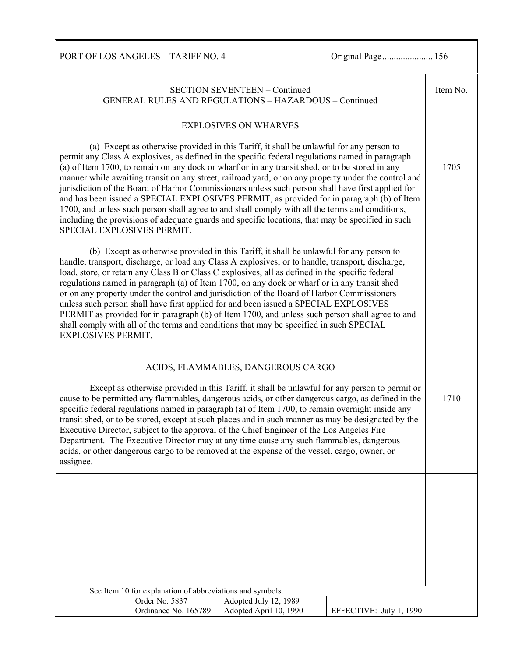PORT OF LOS ANGELES – TARIFF NO. 4 Original Page................................. 156

| <b>SECTION SEVENTEEN - Continued</b><br>GENERAL RULES AND REGULATIONS - HAZARDOUS - Continued |                                                           |                                                                                                                                                                                                                                                                                                                                                                                                                                                                                                                                                                                                                                                                                                                                                                                                                  |                         | Item No. |
|-----------------------------------------------------------------------------------------------|-----------------------------------------------------------|------------------------------------------------------------------------------------------------------------------------------------------------------------------------------------------------------------------------------------------------------------------------------------------------------------------------------------------------------------------------------------------------------------------------------------------------------------------------------------------------------------------------------------------------------------------------------------------------------------------------------------------------------------------------------------------------------------------------------------------------------------------------------------------------------------------|-------------------------|----------|
|                                                                                               |                                                           | <b>EXPLOSIVES ON WHARVES</b>                                                                                                                                                                                                                                                                                                                                                                                                                                                                                                                                                                                                                                                                                                                                                                                     |                         |          |
| SPECIAL EXPLOSIVES PERMIT.                                                                    |                                                           | (a) Except as otherwise provided in this Tariff, it shall be unlawful for any person to<br>permit any Class A explosives, as defined in the specific federal regulations named in paragraph<br>(a) of Item 1700, to remain on any dock or wharf or in any transit shed, or to be stored in any<br>manner while awaiting transit on any street, railroad yard, or on any property under the control and<br>jurisdiction of the Board of Harbor Commissioners unless such person shall have first applied for<br>and has been issued a SPECIAL EXPLOSIVES PERMIT, as provided for in paragraph (b) of Item<br>1700, and unless such person shall agree to and shall comply with all the terms and conditions,<br>including the provisions of adequate guards and specific locations, that may be specified in such |                         | 1705     |
| <b>EXPLOSIVES PERMIT.</b>                                                                     |                                                           | (b) Except as otherwise provided in this Tariff, it shall be unlawful for any person to<br>handle, transport, discharge, or load any Class A explosives, or to handle, transport, discharge,<br>load, store, or retain any Class B or Class C explosives, all as defined in the specific federal<br>regulations named in paragraph (a) of Item 1700, on any dock or wharf or in any transit shed<br>or on any property under the control and jurisdiction of the Board of Harbor Commissioners<br>unless such person shall have first applied for and been issued a SPECIAL EXPLOSIVES<br>PERMIT as provided for in paragraph (b) of Item 1700, and unless such person shall agree to and<br>shall comply with all of the terms and conditions that may be specified in such SPECIAL                             |                         |          |
|                                                                                               |                                                           | ACIDS, FLAMMABLES, DANGEROUS CARGO                                                                                                                                                                                                                                                                                                                                                                                                                                                                                                                                                                                                                                                                                                                                                                               |                         |          |
| assignee.                                                                                     |                                                           | Except as otherwise provided in this Tariff, it shall be unlawful for any person to permit or<br>cause to be permitted any flammables, dangerous acids, or other dangerous cargo, as defined in the<br>specific federal regulations named in paragraph (a) of Item 1700, to remain overnight inside any<br>transit shed, or to be stored, except at such places and in such manner as may be designated by the<br>Executive Director, subject to the approval of the Chief Engineer of the Los Angeles Fire<br>Department. The Executive Director may at any time cause any such flammables, dangerous<br>acids, or other dangerous cargo to be removed at the expense of the vessel, cargo, owner, or                                                                                                           |                         | 1710     |
|                                                                                               |                                                           |                                                                                                                                                                                                                                                                                                                                                                                                                                                                                                                                                                                                                                                                                                                                                                                                                  |                         |          |
|                                                                                               |                                                           |                                                                                                                                                                                                                                                                                                                                                                                                                                                                                                                                                                                                                                                                                                                                                                                                                  |                         |          |
|                                                                                               |                                                           |                                                                                                                                                                                                                                                                                                                                                                                                                                                                                                                                                                                                                                                                                                                                                                                                                  |                         |          |
|                                                                                               |                                                           |                                                                                                                                                                                                                                                                                                                                                                                                                                                                                                                                                                                                                                                                                                                                                                                                                  |                         |          |
|                                                                                               | See Item 10 for explanation of abbreviations and symbols. |                                                                                                                                                                                                                                                                                                                                                                                                                                                                                                                                                                                                                                                                                                                                                                                                                  |                         |          |
|                                                                                               | Order No. 5837                                            | Adopted July 12, 1989                                                                                                                                                                                                                                                                                                                                                                                                                                                                                                                                                                                                                                                                                                                                                                                            |                         |          |
|                                                                                               | Ordinance No. 165789                                      | Adopted April 10, 1990                                                                                                                                                                                                                                                                                                                                                                                                                                                                                                                                                                                                                                                                                                                                                                                           | EFFECTIVE: July 1, 1990 |          |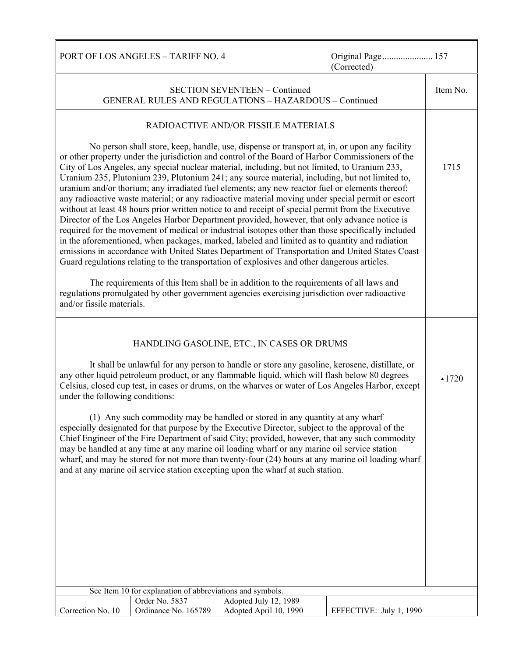|                                 | PORT OF LOS ANGELES - TARIFF NO. 4                        |                                                                                                                                                                                                                                                                                                                                                                                                                                                                                                                                                                                                                                                                                                                                                                                                                                                                                                                                                                                                                                                                                                                            | Original Page 157<br>(Corrected)                                                                                                                                                                        |                  |
|---------------------------------|-----------------------------------------------------------|----------------------------------------------------------------------------------------------------------------------------------------------------------------------------------------------------------------------------------------------------------------------------------------------------------------------------------------------------------------------------------------------------------------------------------------------------------------------------------------------------------------------------------------------------------------------------------------------------------------------------------------------------------------------------------------------------------------------------------------------------------------------------------------------------------------------------------------------------------------------------------------------------------------------------------------------------------------------------------------------------------------------------------------------------------------------------------------------------------------------------|---------------------------------------------------------------------------------------------------------------------------------------------------------------------------------------------------------|------------------|
|                                 |                                                           | <b>SECTION SEVENTEEN - Continued</b><br><b>GENERAL RULES AND REGULATIONS - HAZARDOUS - Continued</b>                                                                                                                                                                                                                                                                                                                                                                                                                                                                                                                                                                                                                                                                                                                                                                                                                                                                                                                                                                                                                       |                                                                                                                                                                                                         | Item No.         |
|                                 |                                                           | RADIOACTIVE AND/OR FISSILE MATERIALS                                                                                                                                                                                                                                                                                                                                                                                                                                                                                                                                                                                                                                                                                                                                                                                                                                                                                                                                                                                                                                                                                       |                                                                                                                                                                                                         |                  |
|                                 |                                                           | No person shall store, keep, handle, use, dispense or transport at, in, or upon any facility<br>or other property under the jurisdiction and control of the Board of Harbor Commissioners of the<br>City of Los Angeles, any special nuclear material, including, but not limited, to Uranium 233,<br>Uranium 235, Plutonium 239, Plutonium 241; any source material, including, but not limited to,<br>uranium and/or thorium; any irradiated fuel elements; any new reactor fuel or elements thereof;<br>any radioactive waste material; or any radioactive material moving under special permit or escort<br>without at least 48 hours prior written notice to and receipt of special permit from the Executive<br>Director of the Los Angeles Harbor Department provided, however, that only advance notice is<br>required for the movement of medical or industrial isotopes other than those specifically included<br>in the aforementioned, when packages, marked, labeled and limited as to quantity and radiation<br>Guard regulations relating to the transportation of explosives and other dangerous articles. | emissions in accordance with United States Department of Transportation and United States Coast                                                                                                         | 1715             |
| and/or fissile materials.       |                                                           | The requirements of this Item shall be in addition to the requirements of all laws and<br>regulations promulgated by other government agencies exercising jurisdiction over radioactive                                                                                                                                                                                                                                                                                                                                                                                                                                                                                                                                                                                                                                                                                                                                                                                                                                                                                                                                    |                                                                                                                                                                                                         |                  |
| under the following conditions: | See Item 10 for explanation of abbreviations and symbols. | HANDLING GASOLINE, ETC., IN CASES OR DRUMS<br>It shall be unlawful for any person to handle or store any gasoline, kerosene, distillate, or<br>any other liquid petroleum product, or any flammable liquid, which will flash below 80 degrees<br>(1) Any such commodity may be handled or stored in any quantity at any wharf<br>especially designated for that purpose by the Executive Director, subject to the approval of the<br>Chief Engineer of the Fire Department of said City; provided, however, that any such commodity<br>may be handled at any time at any marine oil loading wharf or any marine oil service station<br>and at any marine oil service station excepting upon the wharf at such station.                                                                                                                                                                                                                                                                                                                                                                                                     | Celsius, closed cup test, in cases or drums, on the wharves or water of Los Angeles Harbor, except<br>wharf, and may be stored for not more than twenty-four (24) hours at any marine oil loading wharf | $\triangle$ 1720 |
|                                 | Order No. 5837                                            | Adopted July 12, 1989                                                                                                                                                                                                                                                                                                                                                                                                                                                                                                                                                                                                                                                                                                                                                                                                                                                                                                                                                                                                                                                                                                      |                                                                                                                                                                                                         |                  |
| Correction No. 10               | Ordinance No. 165789                                      | Adopted April 10, 1990                                                                                                                                                                                                                                                                                                                                                                                                                                                                                                                                                                                                                                                                                                                                                                                                                                                                                                                                                                                                                                                                                                     | EFFECTIVE: July 1, 1990                                                                                                                                                                                 |                  |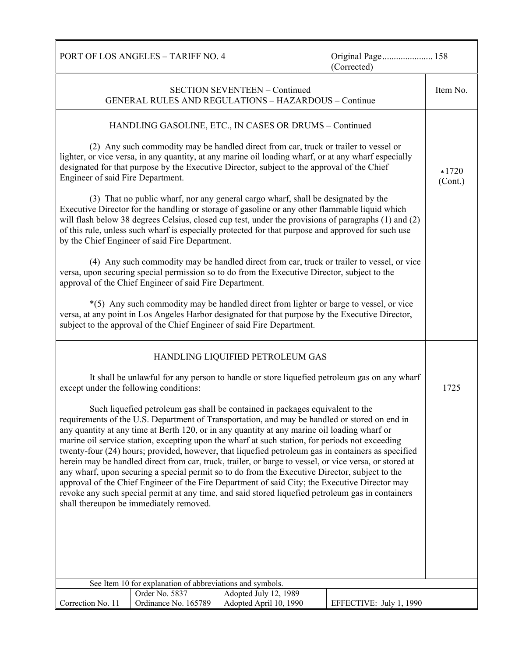| PORT OF LOS ANGELES - TARIFF NO. 4                                                                                                                                                                                                                                                                                                                                                                                                                                                                                                                                                                                                                                                                                                                                                                                                                                                                                                                    | Original Page 158<br>(Corrected) |  |
|-------------------------------------------------------------------------------------------------------------------------------------------------------------------------------------------------------------------------------------------------------------------------------------------------------------------------------------------------------------------------------------------------------------------------------------------------------------------------------------------------------------------------------------------------------------------------------------------------------------------------------------------------------------------------------------------------------------------------------------------------------------------------------------------------------------------------------------------------------------------------------------------------------------------------------------------------------|----------------------------------|--|
| <b>SECTION SEVENTEEN - Continued</b><br><b>GENERAL RULES AND REGULATIONS - HAZARDOUS - Continue</b>                                                                                                                                                                                                                                                                                                                                                                                                                                                                                                                                                                                                                                                                                                                                                                                                                                                   | Item No.                         |  |
| HANDLING GASOLINE, ETC., IN CASES OR DRUMS - Continued                                                                                                                                                                                                                                                                                                                                                                                                                                                                                                                                                                                                                                                                                                                                                                                                                                                                                                |                                  |  |
| (2) Any such commodity may be handled direct from car, truck or trailer to vessel or<br>lighter, or vice versa, in any quantity, at any marine oil loading wharf, or at any wharf especially<br>designated for that purpose by the Executive Director, subject to the approval of the Chief<br>Engineer of said Fire Department.                                                                                                                                                                                                                                                                                                                                                                                                                                                                                                                                                                                                                      | $\triangle 1720$<br>(Cont.)      |  |
| (3) That no public wharf, nor any general cargo wharf, shall be designated by the<br>Executive Director for the handling or storage of gasoline or any other flammable liquid which<br>will flash below 38 degrees Celsius, closed cup test, under the provisions of paragraphs (1) and (2)<br>of this rule, unless such wharf is especially protected for that purpose and approved for such use<br>by the Chief Engineer of said Fire Department.                                                                                                                                                                                                                                                                                                                                                                                                                                                                                                   |                                  |  |
| (4) Any such commodity may be handled direct from car, truck or trailer to vessel, or vice<br>versa, upon securing special permission so to do from the Executive Director, subject to the<br>approval of the Chief Engineer of said Fire Department.                                                                                                                                                                                                                                                                                                                                                                                                                                                                                                                                                                                                                                                                                                 |                                  |  |
| *(5) Any such commodity may be handled direct from lighter or barge to vessel, or vice<br>versa, at any point in Los Angeles Harbor designated for that purpose by the Executive Director,<br>subject to the approval of the Chief Engineer of said Fire Department.                                                                                                                                                                                                                                                                                                                                                                                                                                                                                                                                                                                                                                                                                  |                                  |  |
| HANDLING LIQUIFIED PETROLEUM GAS                                                                                                                                                                                                                                                                                                                                                                                                                                                                                                                                                                                                                                                                                                                                                                                                                                                                                                                      |                                  |  |
| It shall be unlawful for any person to handle or store liquefied petroleum gas on any wharf<br>except under the following conditions:                                                                                                                                                                                                                                                                                                                                                                                                                                                                                                                                                                                                                                                                                                                                                                                                                 | 1725                             |  |
| Such liquefied petroleum gas shall be contained in packages equivalent to the<br>requirements of the U.S. Department of Transportation, and may be handled or stored on end in<br>any quantity at any time at Berth 120, or in any quantity at any marine oil loading wharf or<br>marine oil service station, excepting upon the wharf at such station, for periods not exceeding<br>twenty-four (24) hours; provided, however, that liquefied petroleum gas in containers as specified<br>herein may be handled direct from car, truck, trailer, or barge to vessel, or vice versa, or stored at<br>any wharf, upon securing a special permit so to do from the Executive Director, subject to the<br>approval of the Chief Engineer of the Fire Department of said City; the Executive Director may<br>revoke any such special permit at any time, and said stored liquefied petroleum gas in containers<br>shall thereupon be immediately removed. |                                  |  |
| See Item 10 for explanation of abbreviations and symbols.<br>Order No. 5837<br>Adopted July 12, 1989                                                                                                                                                                                                                                                                                                                                                                                                                                                                                                                                                                                                                                                                                                                                                                                                                                                  |                                  |  |
| Ordinance No. 165789<br>Adopted April 10, 1990<br>Correction No. 11                                                                                                                                                                                                                                                                                                                                                                                                                                                                                                                                                                                                                                                                                                                                                                                                                                                                                   | EFFECTIVE: July 1, 1990          |  |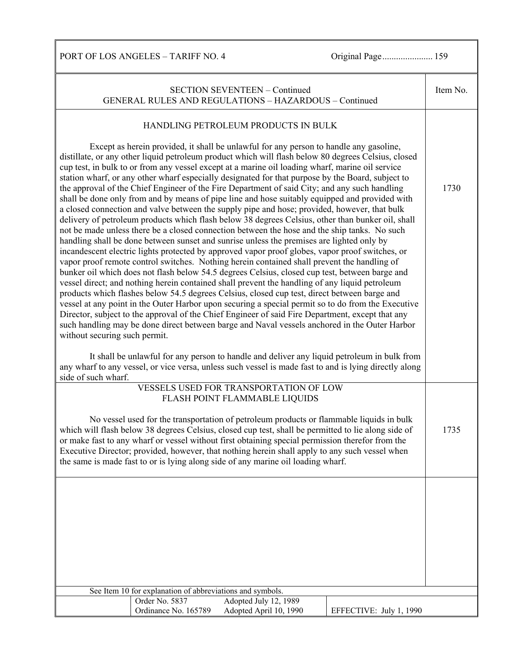PORT OF LOS ANGELES – TARIFF NO. 4 Original Page...................... 159

| <b>SECTION SEVENTEEN - Continued</b><br>GENERAL RULES AND REGULATIONS - HAZARDOUS - Continued |                                                           |                                                                                                                                                                                                                                                                                                                                                                                                                                                                                                                                                                                                                                                                                                                                                                                                                                                                                                                                                                                                                                                                                                                                                                                                                                                                                                                                                                                                                                                                                                                                                                                                                                                                                                                                                                                                                              |                         | Item No. |
|-----------------------------------------------------------------------------------------------|-----------------------------------------------------------|------------------------------------------------------------------------------------------------------------------------------------------------------------------------------------------------------------------------------------------------------------------------------------------------------------------------------------------------------------------------------------------------------------------------------------------------------------------------------------------------------------------------------------------------------------------------------------------------------------------------------------------------------------------------------------------------------------------------------------------------------------------------------------------------------------------------------------------------------------------------------------------------------------------------------------------------------------------------------------------------------------------------------------------------------------------------------------------------------------------------------------------------------------------------------------------------------------------------------------------------------------------------------------------------------------------------------------------------------------------------------------------------------------------------------------------------------------------------------------------------------------------------------------------------------------------------------------------------------------------------------------------------------------------------------------------------------------------------------------------------------------------------------------------------------------------------------|-------------------------|----------|
|                                                                                               |                                                           | HANDLING PETROLEUM PRODUCTS IN BULK                                                                                                                                                                                                                                                                                                                                                                                                                                                                                                                                                                                                                                                                                                                                                                                                                                                                                                                                                                                                                                                                                                                                                                                                                                                                                                                                                                                                                                                                                                                                                                                                                                                                                                                                                                                          |                         |          |
| without securing such permit.                                                                 |                                                           | Except as herein provided, it shall be unlawful for any person to handle any gasoline,<br>distillate, or any other liquid petroleum product which will flash below 80 degrees Celsius, closed<br>cup test, in bulk to or from any vessel except at a marine oil loading wharf, marine oil service<br>station wharf, or any other wharf especially designated for that purpose by the Board, subject to<br>the approval of the Chief Engineer of the Fire Department of said City; and any such handling<br>shall be done only from and by means of pipe line and hose suitably equipped and provided with<br>a closed connection and valve between the supply pipe and hose; provided, however, that bulk<br>delivery of petroleum products which flash below 38 degrees Celsius, other than bunker oil, shall<br>not be made unless there be a closed connection between the hose and the ship tanks. No such<br>handling shall be done between sunset and sunrise unless the premises are lighted only by<br>incandescent electric lights protected by approved vapor proof globes, vapor proof switches, or<br>vapor proof remote control switches. Nothing herein contained shall prevent the handling of<br>bunker oil which does not flash below 54.5 degrees Celsius, closed cup test, between barge and<br>vessel direct; and nothing herein contained shall prevent the handling of any liquid petroleum<br>products which flashes below 54.5 degrees Celsius, closed cup test, direct between barge and<br>vessel at any point in the Outer Harbor upon securing a special permit so to do from the Executive<br>Director, subject to the approval of the Chief Engineer of said Fire Department, except that any<br>such handling may be done direct between barge and Naval vessels anchored in the Outer Harbor |                         | 1730     |
| side of such wharf.                                                                           |                                                           | It shall be unlawful for any person to handle and deliver any liquid petroleum in bulk from<br>any wharf to any vessel, or vice versa, unless such vessel is made fast to and is lying directly along                                                                                                                                                                                                                                                                                                                                                                                                                                                                                                                                                                                                                                                                                                                                                                                                                                                                                                                                                                                                                                                                                                                                                                                                                                                                                                                                                                                                                                                                                                                                                                                                                        |                         |          |
|                                                                                               |                                                           | VESSELS USED FOR TRANSPORTATION OF LOW<br>FLASH POINT FLAMMABLE LIQUIDS                                                                                                                                                                                                                                                                                                                                                                                                                                                                                                                                                                                                                                                                                                                                                                                                                                                                                                                                                                                                                                                                                                                                                                                                                                                                                                                                                                                                                                                                                                                                                                                                                                                                                                                                                      |                         |          |
|                                                                                               |                                                           | No vessel used for the transportation of petroleum products or flammable liquids in bulk<br>which will flash below 38 degrees Celsius, closed cup test, shall be permitted to lie along side of<br>or make fast to any wharf or vessel without first obtaining special permission therefor from the<br>Executive Director; provided, however, that nothing herein shall apply to any such vessel when<br>the same is made fast to or is lying along side of any marine oil loading wharf.                                                                                                                                                                                                                                                                                                                                                                                                                                                                                                                                                                                                                                                                                                                                                                                                                                                                                                                                                                                                                                                                                                                                                                                                                                                                                                                                    |                         | 1735     |
|                                                                                               |                                                           |                                                                                                                                                                                                                                                                                                                                                                                                                                                                                                                                                                                                                                                                                                                                                                                                                                                                                                                                                                                                                                                                                                                                                                                                                                                                                                                                                                                                                                                                                                                                                                                                                                                                                                                                                                                                                              |                         |          |
|                                                                                               | See Item 10 for explanation of abbreviations and symbols. |                                                                                                                                                                                                                                                                                                                                                                                                                                                                                                                                                                                                                                                                                                                                                                                                                                                                                                                                                                                                                                                                                                                                                                                                                                                                                                                                                                                                                                                                                                                                                                                                                                                                                                                                                                                                                              |                         |          |
|                                                                                               | Order No. 5837<br>Ordinance No. 165789                    | Adopted July 12, 1989<br>Adopted April 10, 1990                                                                                                                                                                                                                                                                                                                                                                                                                                                                                                                                                                                                                                                                                                                                                                                                                                                                                                                                                                                                                                                                                                                                                                                                                                                                                                                                                                                                                                                                                                                                                                                                                                                                                                                                                                              | EFFECTIVE: July 1, 1990 |          |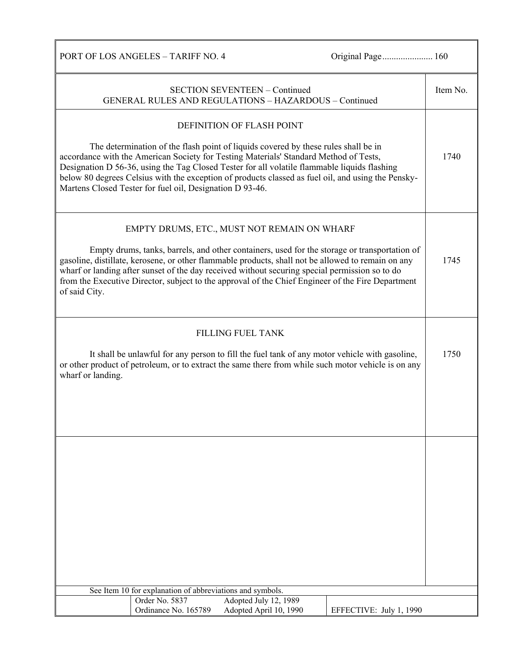PORT OF LOS ANGELES - TARIFF NO. 4 Original Page.......................... 160

| <b>SECTION SEVENTEEN - Continued</b><br>GENERAL RULES AND REGULATIONS - HAZARDOUS - Continued                                                                                                                                                                                                                                                                                                                                                                              | Item No. |
|----------------------------------------------------------------------------------------------------------------------------------------------------------------------------------------------------------------------------------------------------------------------------------------------------------------------------------------------------------------------------------------------------------------------------------------------------------------------------|----------|
| DEFINITION OF FLASH POINT<br>The determination of the flash point of liquids covered by these rules shall be in<br>accordance with the American Society for Testing Materials' Standard Method of Tests,<br>Designation D 56-36, using the Tag Closed Tester for all volatile flammable liquids flashing<br>below 80 degrees Celsius with the exception of products classed as fuel oil, and using the Pensky-<br>Martens Closed Tester for fuel oil, Designation D 93-46. | 1740     |
| EMPTY DRUMS, ETC., MUST NOT REMAIN ON WHARF<br>Empty drums, tanks, barrels, and other containers, used for the storage or transportation of<br>gasoline, distillate, kerosene, or other flammable products, shall not be allowed to remain on any<br>wharf or landing after sunset of the day received without securing special permission so to do<br>from the Executive Director, subject to the approval of the Chief Engineer of the Fire Department<br>of said City.  | 1745     |
| <b>FILLING FUEL TANK</b><br>It shall be unlawful for any person to fill the fuel tank of any motor vehicle with gasoline,<br>or other product of petroleum, or to extract the same there from while such motor vehicle is on any<br>wharf or landing.                                                                                                                                                                                                                      | 1750     |
|                                                                                                                                                                                                                                                                                                                                                                                                                                                                            |          |
| See Item 10 for explanation of abbreviations and symbols.<br>Order No. 5837<br>Adopted July 12, 1989<br>Ordinance No. 165789<br>Adopted April 10, 1990<br>EFFECTIVE: July 1, 1990                                                                                                                                                                                                                                                                                          |          |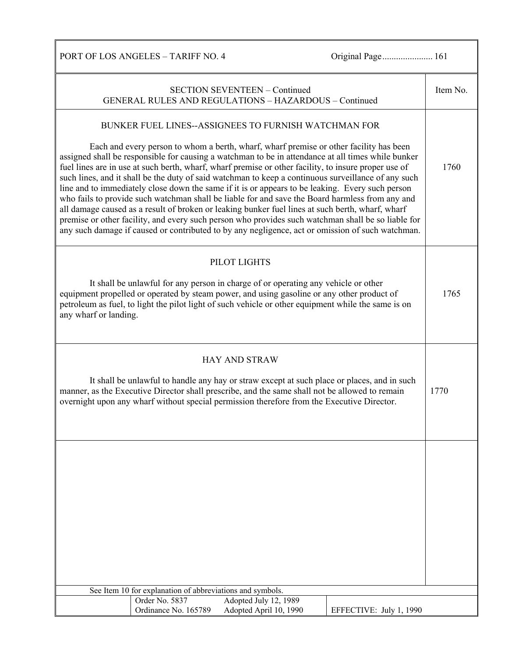PORT OF LOS ANGELES - TARIFF NO. 4 Original Page........................... 161

|                       |                                                           | <b>SECTION SEVENTEEN - Continued</b><br><b>GENERAL RULES AND REGULATIONS - HAZARDOUS - Continued</b>                                                                                                                                                                                                                                                                                                                                                                                                                                                                                                                                                                                                                                                                                                                                                                                                                                                                                     |                         | Item No. |
|-----------------------|-----------------------------------------------------------|------------------------------------------------------------------------------------------------------------------------------------------------------------------------------------------------------------------------------------------------------------------------------------------------------------------------------------------------------------------------------------------------------------------------------------------------------------------------------------------------------------------------------------------------------------------------------------------------------------------------------------------------------------------------------------------------------------------------------------------------------------------------------------------------------------------------------------------------------------------------------------------------------------------------------------------------------------------------------------------|-------------------------|----------|
|                       |                                                           | BUNKER FUEL LINES--ASSIGNEES TO FURNISH WATCHMAN FOR<br>Each and every person to whom a berth, wharf, wharf premise or other facility has been<br>assigned shall be responsible for causing a watchman to be in attendance at all times while bunker<br>fuel lines are in use at such berth, wharf, wharf premise or other facility, to insure proper use of<br>such lines, and it shall be the duty of said watchman to keep a continuous surveillance of any such<br>line and to immediately close down the same if it is or appears to be leaking. Every such person<br>who fails to provide such watchman shall be liable for and save the Board harmless from any and<br>all damage caused as a result of broken or leaking bunker fuel lines at such berth, wharf, wharf<br>premise or other facility, and every such person who provides such watchman shall be so liable for<br>any such damage if caused or contributed to by any negligence, act or omission of such watchman. |                         | 1760     |
| any wharf or landing. |                                                           | PILOT LIGHTS<br>It shall be unlawful for any person in charge of or operating any vehicle or other<br>equipment propelled or operated by steam power, and using gasoline or any other product of<br>petroleum as fuel, to light the pilot light of such vehicle or other equipment while the same is on                                                                                                                                                                                                                                                                                                                                                                                                                                                                                                                                                                                                                                                                                  |                         | 1765     |
|                       |                                                           | <b>HAY AND STRAW</b><br>It shall be unlawful to handle any hay or straw except at such place or places, and in such<br>manner, as the Executive Director shall prescribe, and the same shall not be allowed to remain<br>overnight upon any wharf without special permission therefore from the Executive Director.                                                                                                                                                                                                                                                                                                                                                                                                                                                                                                                                                                                                                                                                      |                         | 1770     |
|                       | See Item 10 for explanation of abbreviations and symbols. |                                                                                                                                                                                                                                                                                                                                                                                                                                                                                                                                                                                                                                                                                                                                                                                                                                                                                                                                                                                          |                         |          |
|                       | Order No. 5837                                            | Adopted July 12, 1989                                                                                                                                                                                                                                                                                                                                                                                                                                                                                                                                                                                                                                                                                                                                                                                                                                                                                                                                                                    |                         |          |
|                       | Ordinance No. 165789                                      | Adopted April 10, 1990                                                                                                                                                                                                                                                                                                                                                                                                                                                                                                                                                                                                                                                                                                                                                                                                                                                                                                                                                                   | EFFECTIVE: July 1, 1990 |          |